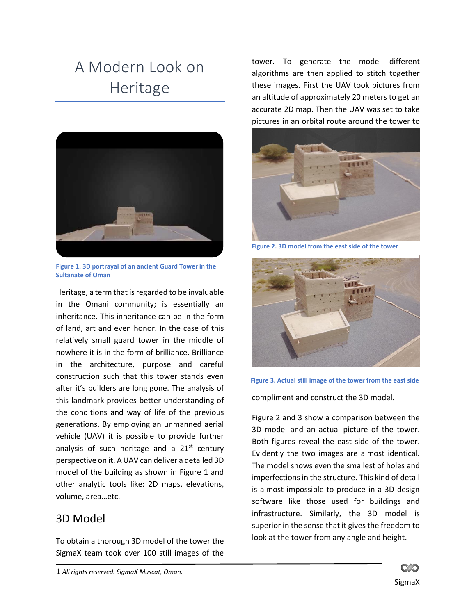## A Modern Look on Heritage



**Figure 1. 3D portrayal of an ancient Guard Tower in the Sultanate of Oman**

Heritage, a term that is regarded to be invaluable in the Omani community; is essentially an inheritance. This inheritance can be in the form of land, art and even honor. In the case of this relatively small guard tower in the middle of nowhere it is in the form of brilliance. Brilliance in the architecture, purpose and careful construction such that this tower stands even after it's builders are long gone. The analysis of this landmark provides better understanding of the conditions and way of life of the previous generations. By employing an unmanned aerial vehicle (UAV) it is possible to provide further analysis of such heritage and a  $21<sup>st</sup>$  century perspective on it. A UAV can deliver a detailed 3D model of the building as shown in Figure 1 and other analytic tools like: 2D maps, elevations, volume, area…etc.

## 3D Model

To obtain a thorough 3D model of the tower the SigmaX team took over 100 still images of the

tower. To generate the model different algorithms are then applied to stitch together these images. First the UAV took pictures from an altitude of approximately 20 meters to get an accurate 2D map. Then the UAV was set to take pictures in an orbital route around the tower to



**Figure 2. 3D model from the east side of the tower**



**Figure 3. Actual still image of the tower from the east side**

compliment and construct the 3D model.

Figure 2 and 3 show a comparison between the 3D model and an actual picture of the tower. Both figures reveal the east side of the tower. Evidently the two images are almost identical. The model shows even the smallest of holes and imperfections in the structure. This kind of detail is almost impossible to produce in a 3D design software like those used for buildings and infrastructure. Similarly, the 3D model is superior in the sense that it gives the freedom to look at the tower from any angle and height.